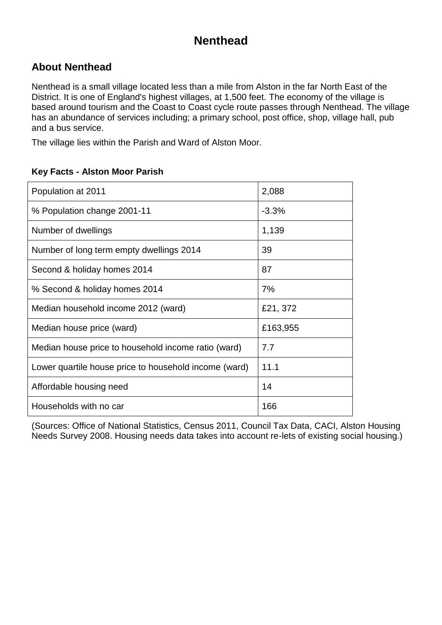## **Nenthead**

### **About Nenthead**

Nenthead is a small village located less than a mile from Alston in the far North East of the District. It is one of England's highest villages, at 1,500 feet. The economy of the village is based around tourism and the Coast to Coast cycle route passes through Nenthead. The village has an abundance of services including; a primary school, post office, shop, village hall, pub and a bus service.

The village lies within the Parish and Ward of Alston Moor.

| Population at 2011                                    | 2,088    |
|-------------------------------------------------------|----------|
| % Population change 2001-11                           | $-3.3%$  |
| Number of dwellings                                   | 1,139    |
| Number of long term empty dwellings 2014              | 39       |
| Second & holiday homes 2014                           | 87       |
| % Second & holiday homes 2014                         | 7%       |
| Median household income 2012 (ward)                   | £21, 372 |
| Median house price (ward)                             | £163,955 |
| Median house price to household income ratio (ward)   | 7.7      |
| Lower quartile house price to household income (ward) | 11.1     |
| Affordable housing need                               | 14       |
| Households with no car                                | 166      |

#### **Key Facts - Alston Moor Parish**

(Sources: Office of National Statistics, Census 2011, Council Tax Data, CACI, Alston Housing Needs Survey 2008. Housing needs data takes into account re-lets of existing social housing.)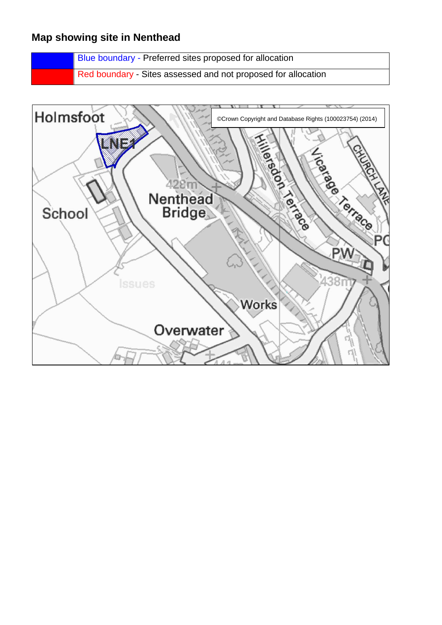### **Map showing site in Nenthead**

Blue boundary - Preferred sites proposed for allocation

Red boundary - Sites assessed and not proposed for allocation

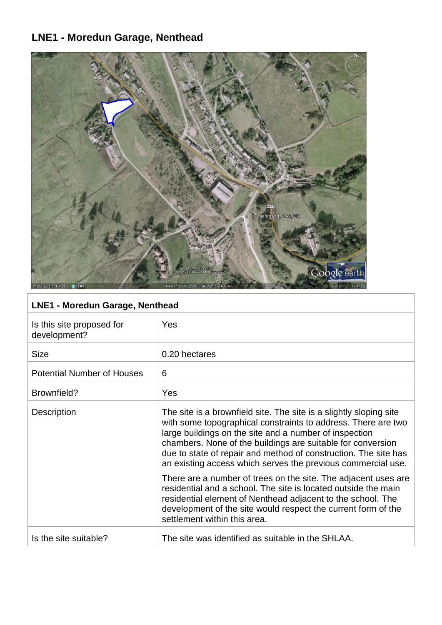# **LNE1 - Moredun Garage, Nenthead**



### **LNE1 - Moredun Garage, Nenthead**

| Is this site proposed for<br>development? | Yes                                                                                                                                                                                                                                                                                                                                                                                             |
|-------------------------------------------|-------------------------------------------------------------------------------------------------------------------------------------------------------------------------------------------------------------------------------------------------------------------------------------------------------------------------------------------------------------------------------------------------|
| <b>Size</b>                               | 0.20 hectares                                                                                                                                                                                                                                                                                                                                                                                   |
| <b>Potential Number of Houses</b>         | 6                                                                                                                                                                                                                                                                                                                                                                                               |
| Brownfield?                               | Yes                                                                                                                                                                                                                                                                                                                                                                                             |
| <b>Description</b>                        | The site is a brownfield site. The site is a slightly sloping site<br>with some topographical constraints to address. There are two<br>large buildings on the site and a number of inspection<br>chambers. None of the buildings are suitable for conversion<br>due to state of repair and method of construction. The site has<br>an existing access which serves the previous commercial use. |
|                                           | There are a number of trees on the site. The adjacent uses are<br>residential and a school. The site is located outside the main<br>residential element of Nenthead adjacent to the school. The<br>development of the site would respect the current form of the<br>settlement within this area.                                                                                                |
| Is the site suitable?                     | The site was identified as suitable in the SHLAA.                                                                                                                                                                                                                                                                                                                                               |